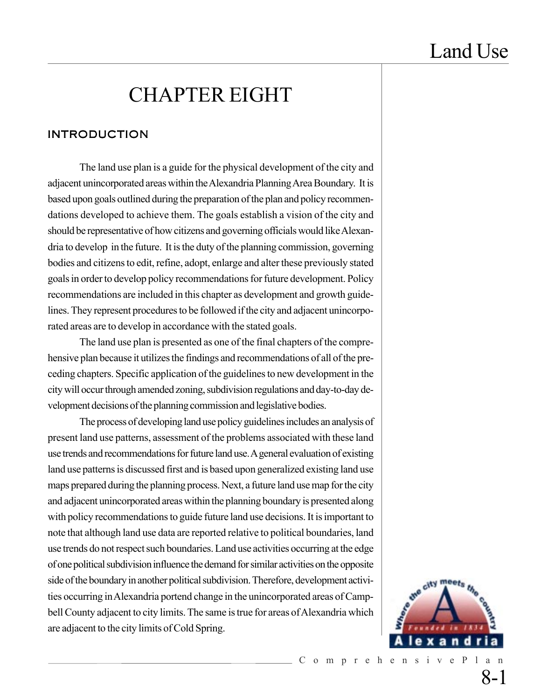# CHAPTER EIGHT

### INTRODUCTION

The land use plan is a guide for the physical development of the city and adjacent unincorporated areas within the Alexandria Planning Area Boundary. It is based upon goals outlined during the preparation of the plan and policy recommendations developed to achieve them. The goals establish a vision of the city and should be representative of how citizens and governing officials would like Alexandria to develop in the future. It is the duty of the planning commission, governing bodies and citizens to edit, refine, adopt, enlarge and alter these previously stated goals in order to develop policy recommendations for future development. Policy recommendations are included in this chapter as development and growth guidelines. They represent procedures to be followed if the city and adjacent unincorporated areas are to develop in accordance with the stated goals.

The land use plan is presented as one of the final chapters of the comprehensive plan because it utilizes the findings and recommendations of all of the preceding chapters. Specific application of the guidelines to new development in the city will occur through amended zoning, subdivision regulations and day-to-day development decisions of the planning commission and legislative bodies.

The process of developing land use policy guidelines includes an analysis of present land use patterns, assessment of the problems associated with these land use trends and recommendations for future land use. A general evaluation of existing land use patterns is discussed first and is based upon generalized existing land use maps prepared during the planning process. Next, a future land use map for the city and adjacent unincorporated areas within the planning boundary is presented along with policy recommendations to guide future land use decisions. It is important to note that although land use data are reported relative to political boundaries, land use trends do not respect such boundaries. Land use activities occurring at the edge of one political subdivision influence the demand for similar activities on the opposite side of the boundary in another political subdivision. Therefore, development activities occurring in Alexandria portend change in the unincorporated areas of Campbell County adjacent to city limits. The same is true for areas of Alexandria which are adjacent to the city limits of Cold Spring.

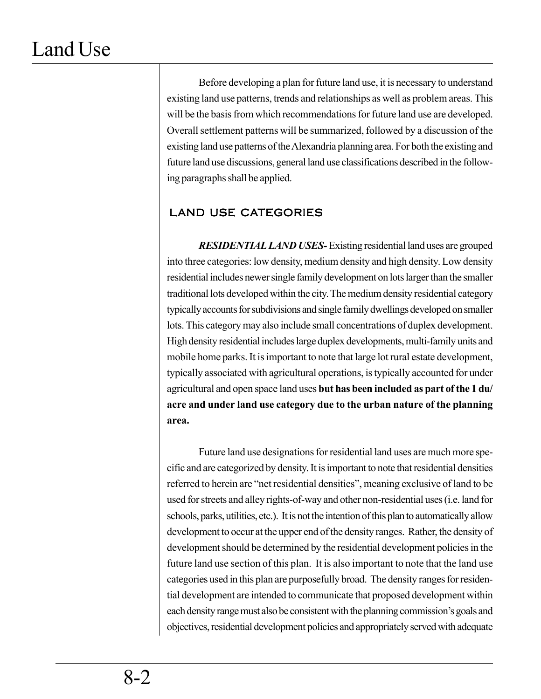Before developing a plan for future land use, it is necessary to understand existing land use patterns, trends and relationships as well as problem areas. This will be the basis from which recommendations for future land use are developed. Overall settlement patterns will be summarized, followed by a discussion of the existing land use patterns of the Alexandria planning area. For both the existing and future land use discussions, general land use classifications described in the following paragraphs shall be applied.

### LAND USE CATEGORIES

*RESIDENTIAL LAND USES-*Existing residential land uses are grouped into three categories: low density, medium density and high density. Low density residential includes newer single family development on lots larger than the smaller traditional lots developed within the city. The medium density residential category typically accounts for subdivisions and single family dwellings developed on smaller lots. This category may also include small concentrations of duplex development. High density residential includes large duplex developments, multi-family units and mobile home parks. It is important to note that large lot rural estate development, typically associated with agricultural operations, is typically accounted for under agricultural and open space land uses **but has been included as part of the 1 du/ acre and under land use category due to the urban nature of the planning area.**

Future land use designations for residential land uses are much more specific and are categorized by density. It is important to note that residential densities referred to herein are "net residential densities", meaning exclusive of land to be used for streets and alley rights-of-way and other non-residential uses (i.e. land for schools, parks, utilities, etc.). It is not the intention of this plan to automatically allow development to occur at the upper end of the density ranges. Rather, the density of development should be determined by the residential development policies in the future land use section of this plan. It is also important to note that the land use categories used in this plan are purposefully broad. The density ranges for residential development are intended to communicate that proposed development within each density range must also be consistent with the planning commission's goals and objectives, residential development policies and appropriately served with adequate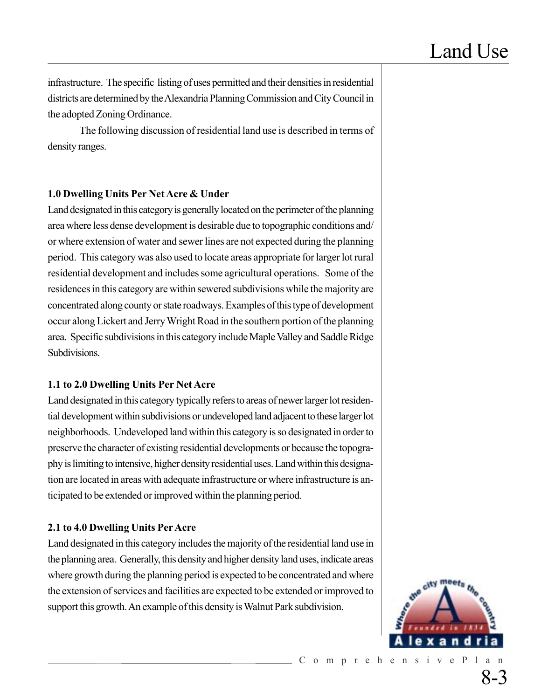infrastructure. The specific listing of uses permitted and their densities in residential districts are determined by the Alexandria Planning Commission and City Council in the adopted Zoning Ordinance.

The following discussion of residential land use is described in terms of density ranges.

#### **1.0 Dwelling Units Per Net Acre & Under**

Land designated in this category is generally located on the perimeter of the planning area where less dense development is desirable due to topographic conditions and/ or where extension of water and sewer lines are not expected during the planning period. This category was also used to locate areas appropriate for larger lot rural residential development and includes some agricultural operations. Some of the residences in this category are within sewered subdivisions while the majority are concentrated along county or state roadways. Examples of this type of development occur along Lickert and Jerry Wright Road in the southern portion of the planning area. Specific subdivisions in this category include Maple Valley and Saddle Ridge Subdivisions.

#### **1.1 to 2.0 Dwelling Units Per Net Acre**

Land designated in this category typically refers to areas of newer larger lot residential development within subdivisions or undeveloped land adjacent to these larger lot neighborhoods. Undeveloped land within this category is so designated in order to preserve the character of existing residential developments or because the topography is limiting to intensive, higher density residential uses. Land within this designation are located in areas with adequate infrastructure or where infrastructure is anticipated to be extended or improved within the planning period.

#### **2.1 to 4.0 Dwelling Units Per Acre**

Land designated in this category includes the majority of the residential land use in the planning area. Generally, this density and higher density land uses, indicate areas where growth during the planning period is expected to be concentrated and where the extension of services and facilities are expected to be extended or improved to support this growth. An example of this density is Walnut Park subdivision.

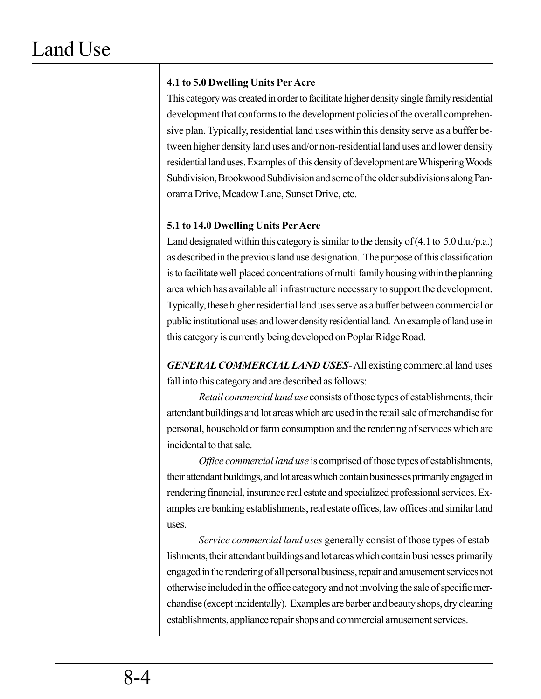### **4.1 to 5.0 Dwelling Units Per Acre**

This category was created in order to facilitate higher density single family residential development that conforms to the development policies of the overall comprehensive plan. Typically, residential land uses within this density serve as a buffer between higher density land uses and/or non-residential land uses and lower density residential land uses. Examples of this density of development are Whispering Woods Subdivision, Brookwood Subdivision and some of the older subdivisions along Panorama Drive, Meadow Lane, Sunset Drive, etc.

#### **5.1 to 14.0 Dwelling Units Per Acre**

Land designated within this category is similar to the density of  $(4.1 \text{ to } 5.0 \text{ d.u.}/p.a.)$ as described in the previous land use designation. The purpose of this classification is to facilitate well-placed concentrations of multi-family housing within the planning area which has available all infrastructure necessary to support the development. Typically, these higher residential land uses serve as a buffer between commercial or public institutional uses and lower density residential land. An example of land use in this category is currently being developed on Poplar Ridge Road.

*GENERAL COMMERCIAL LAND USES*- All existing commercial land uses fall into this category and are described as follows:

*Retail commercial land use* consists of those types of establishments, their attendant buildings and lot areas which are used in the retail sale of merchandise for personal, household or farm consumption and the rendering of services which are incidental to that sale.

*Office commercial land use* is comprised of those types of establishments, their attendant buildings, and lot areas which contain businesses primarily engaged in rendering financial, insurance real estate and specialized professional services. Examples are banking establishments, real estate offices, law offices and similar land uses.

*Service commercial land uses* generally consist of those types of establishments, their attendant buildings and lot areas which contain businesses primarily engaged in the rendering of all personal business, repair and amusement services not otherwise included in the office category and not involving the sale of specific merchandise (except incidentally). Examples are barber and beauty shops, dry cleaning establishments, appliance repair shops and commercial amusement services.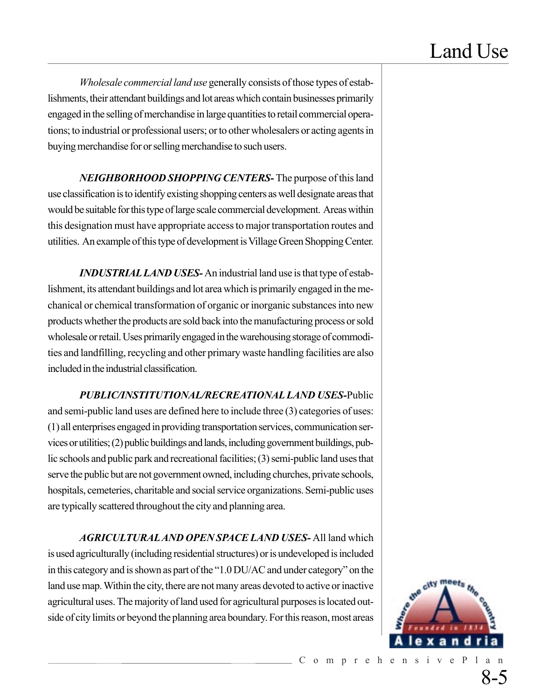*Wholesale commercial land use* generally consists of those types of establishments, their attendant buildings and lot areas which contain businesses primarily engaged in the selling of merchandise in large quantities to retail commercial operations; to industrial or professional users; or to other wholesalers or acting agents in buying merchandise for or selling merchandise to such users.

*NEIGHBORHOOD SHOPPING CENTERS-* The purpose of this land use classification is to identify existing shopping centers as well designate areas that would be suitable for this type of large scale commercial development. Areas within this designation must have appropriate access to major transportation routes and utilities. An example of this type of development is Village Green Shopping Center.

*INDUSTRIAL LAND USES-* An industrial land use is that type of establishment, its attendant buildings and lot area which is primarily engaged in the mechanical or chemical transformation of organic or inorganic substances into new products whether the products are sold back into the manufacturing process or sold wholesale or retail. Uses primarily engaged in the warehousing storage of commodities and landfilling, recycling and other primary waste handling facilities are also included in the industrial classification.

*PUBLIC/INSTITUTIONAL/RECREATIONAL LAND USES-*Public and semi-public land uses are defined here to include three (3) categories of uses: (1) all enterprises engaged in providing transportation services, communication services or utilities; (2) public buildings and lands, including government buildings, public schools and public park and recreational facilities; (3) semi-public land uses that serve the public but are not government owned, including churches, private schools, hospitals, cemeteries, charitable and social service organizations. Semi-public uses are typically scattered throughout the city and planning area.

*AGRICULTURAL AND OPEN SPACE LAND USES-* All land which is used agriculturally (including residential structures) or is undeveloped is included in this category and is shown as part of the "1.0 DU/AC and under category" on the land use map. Within the city, there are not many areas devoted to active or inactive agricultural uses. The majority of land used for agricultural purposes is located outside of city limits or beyond the planning area boundary. For this reason, most areas

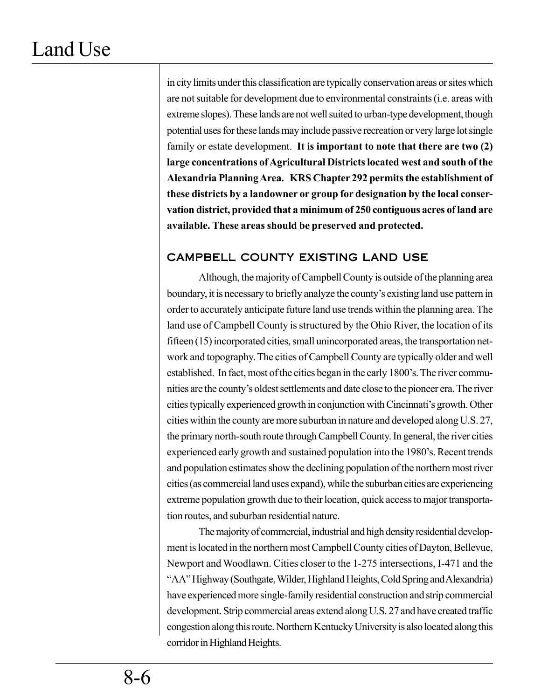in city limits under this classification are typically conservation areas or sites which are not suitable for development due to environmental constraints (i.e. areas with extreme slopes). These lands are not well suited to urban-type development, though potential uses for these lands may include passive recreation or very large lot single family or estate development. **It is important to note that there are two (2) large concentrations of Agricultural Districts located west and south of the Alexandria Planning Area. KRS Chapter 292 permits the establishment of these districts by a landowner or group for designation by the local conservation district, provided that a minimum of 250 contiguous acres of land are available. These areas should be preserved and protected.**

### CAMPBELL COUNTY EXISTING LAND USE

Although, the majority of Campbell County is outside of the planning area boundary, it is necessary to briefly analyze the county's existing land use pattern in order to accurately anticipate future land use trends within the planning area. The land use of Campbell County is structured by the Ohio River, the location of its fifteen (15) incorporated cities, small unincorporated areas, the transportation network and topography. The cities of Campbell County are typically older and well established. In fact, most of the cities began in the early 1800's. The river communities are the county's oldest settlements and date close to the pioneer era. The river cities typically experienced growth in conjunction with Cincinnati's growth. Other cities within the county are more suburban in nature and developed along U.S. 27, the primary north-south route through Campbell County. In general, the river cities experienced early growth and sustained population into the 1980's. Recent trends and population estimates show the declining population of the northern most river cities (as commercial land uses expand), while the suburban cities are experiencing extreme population growth due to their location, quick access to major transportation routes, and suburban residential nature.

The majority of commercial, industrial and high density residential development is located in the northern most Campbell County cities of Dayton, Bellevue, Newport and Woodlawn. Cities closer to the 1-275 intersections, I-471 and the "AA" Highway (Southgate, Wilder, Highland Heights, Cold Spring and Alexandria) have experienced more single-family residential construction and strip commercial development. Strip commercial areas extend along U.S. 27 and have created traffic congestion along this route. Northern Kentucky University is also located along this corridor in Highland Heights.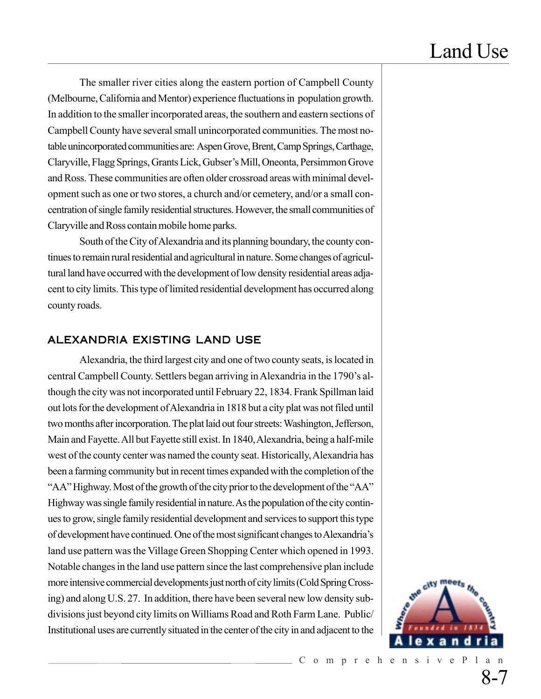The smaller river cities along the eastern portion of Campbell County (Melbourne, California and Mentor) experience fluctuations in population growth. In addition to the smaller incorporated areas, the southern and eastern sections of Campbell County have several small unincorporated communities. The most notable unincorporated communities are: Aspen Grove, Brent, Camp Springs, Carthage, Claryville, Flagg Springs, Grants Lick, Gubser's Mill, Oneonta, Persimmon Grove and Ross. These communities are often older crossroad areas with minimal development such as one or two stores, a church and/or cemetery, and/or a small concentration of single family residential structures. However, the small communities of Claryville and Ross contain mobile home parks.

South of the City of Alexandria and its planning boundary, the county continues to remain rural residential and agricultural in nature. Some changes of agricultural land have occurred with the development of low density residential areas adjacent to city limits. This type of limited residential development has occurred along county roads.

#### ALEXANDRIA EXISTING LAND USE

Alexandria, the third largest city and one of two county seats, is located in central Campbell County. Settlers began arriving in Alexandria in the 1790's although the city was not incorporated until February 22, 1834. Frank Spillman laid out lots for the development of Alexandria in 1818 but a city plat was not filed until two months after incorporation. The plat laid out four streets: Washington, Jefferson, Main and Fayette. All but Fayette still exist. In 1840, Alexandria, being a half-mile west of the county center was named the county seat. Historically, Alexandria has been a farming community but in recent times expanded with the completion of the "AA" Highway. Most of the growth of the city prior to the development of the "AA" Highway was single family residential in nature. As the population of the city continues to grow, single family residential development and services to support this type of development have continued. One of the most significant changes to Alexandria's land use pattern was the Village Green Shopping Center which opened in 1993. Notable changes in the land use pattern since the last comprehensive plan include more intensive commercial developments just north of city limits (Cold Spring Crossing) and along U.S. 27. In addition, there have been several new low density subdivisions just beyond city limits on Williams Road and Roth Farm Lane. Public/ Institutional uses are currently situated in the center of the city in and adjacent to the

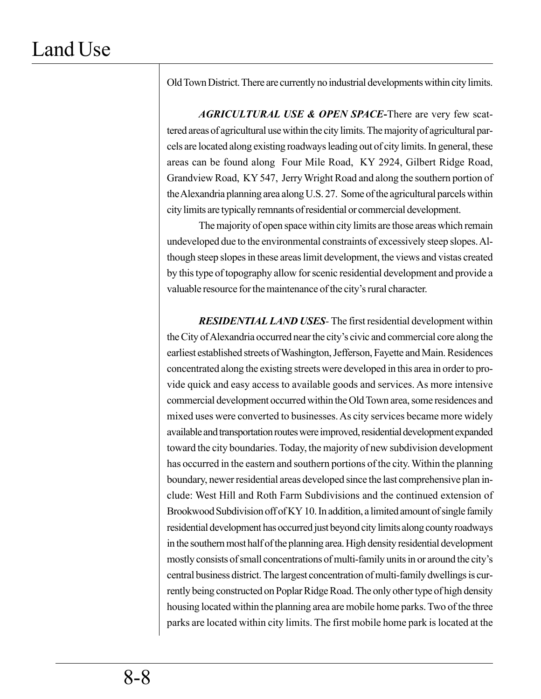Old Town District. There are currently no industrial developments within city limits.

*AGRICULTURAL USE & OPEN SPACE***-**There are very few scattered areas of agricultural use within the city limits. The majority of agricultural parcels are located along existing roadways leading out of city limits. In general, these areas can be found along Four Mile Road, KY 2924, Gilbert Ridge Road, Grandview Road, KY 547, Jerry Wright Road and along the southern portion of the Alexandria planning area along U.S. 27. Some of the agricultural parcels within city limits are typically remnants of residential or commercial development.

The majority of open space within city limits are those areas which remain undeveloped due to the environmental constraints of excessively steep slopes. Although steep slopes in these areas limit development, the views and vistas created by this type of topography allow for scenic residential development and provide a valuable resource for the maintenance of the city's rural character.

*RESIDENTIAL LAND USES-* The firstresidential development within the City of Alexandria occurred near the city's civic and commercial core along the earliest established streets of Washington, Jefferson, Fayette and Main. Residences concentrated along the existing streets were developed in this area in order to provide quick and easy access to available goods and services. As more intensive commercial development occurred within the Old Town area, some residences and mixed uses were converted to businesses. As city services became more widely available and transportation routes were improved, residential development expanded toward the city boundaries. Today, the majority of new subdivision development has occurred in the eastern and southern portions of the city. Within the planning boundary, newer residential areas developed since the last comprehensive plan include: West Hill and Roth Farm Subdivisions and the continued extension of Brookwood Subdivision off of KY 10. In addition, a limited amount of single family residential development has occurred just beyond city limits along county roadways in the southern most half of the planning area. High density residential development mostly consists of small concentrations of multi-family units in or around the city's central business district. The largest concentration of multi-family dwellings is currently being constructed on Poplar Ridge Road. The only other type of high density housing located within the planning area are mobile home parks. Two of the three parks are located within city limits. The first mobile home park is located at the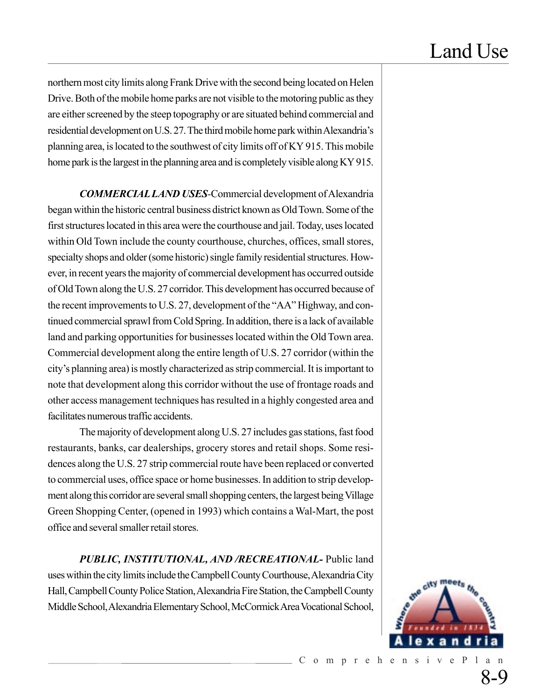northern most city limits along Frank Drive with the second being located on Helen Drive. Both of the mobile home parks are not visible to the motoring public as they are either screened by the steep topography or are situated behind commercial and residential development on U.S. 27. The third mobile home park within Alexandria's planning area, is located to the southwest of city limits off of KY 915. This mobile home park is the largest in the planning area and is completely visible along KY 915.

*COMMERCIAL LAND USES-*Commercial development of Alexandria began within the historic central business district known as Old Town. Some of the first structures located in this area were the courthouse and jail. Today, uses located within Old Town include the county courthouse, churches, offices, small stores, specialty shops and older (some historic) single family residential structures. However, in recent years the majority of commercial development has occurred outside of Old Town along the U.S. 27 corridor. This development has occurred because of the recent improvements to U.S. 27, development of the "AA" Highway, and continued commercial sprawl from Cold Spring. In addition, there is a lack of available land and parking opportunities for businesses located within the Old Town area. Commercial development along the entire length of U.S. 27 corridor (within the city's planning area) is mostly characterized as strip commercial. It is important to note that development along this corridor without the use of frontage roads and other access management techniques has resulted in a highly congested area and facilitates numerous traffic accidents.

The majority of development along U.S. 27 includes gas stations, fast food restaurants, banks, car dealerships, grocery stores and retail shops. Some residences along the U.S. 27 strip commercial route have been replaced or converted to commercial uses, office space or home businesses. In addition to strip development along this corridor are several small shopping centers, the largest being Village Green Shopping Center, (opened in 1993) which contains a Wal-Mart, the post office and several smaller retail stores.

*PUBLIC, INSTITUTIONAL, AND /RECREATIONAL-* Public land uses within the city limits include the Campbell County Courthouse, Alexandria City Hall, Campbell County Police Station, Alexandria Fire Station, the Campbell County Middle School, Alexandria Elementary School, McCormick Area Vocational School,

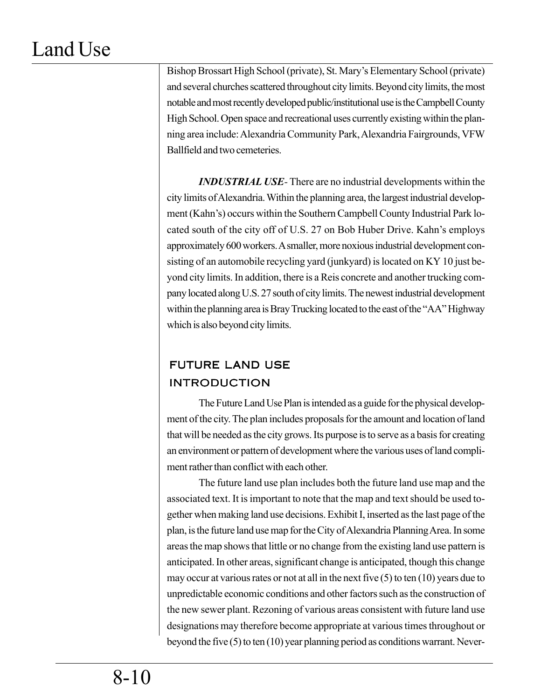Bishop Brossart High School (private), St. Mary's Elementary School (private) and several churches scattered throughout city limits. Beyond city limits, the most notable and most recently developed public/institutional use is the Campbell County High School. Open space and recreational uses currently existing within the planning area include: Alexandria Community Park, Alexandria Fairgrounds, VFW Ballfield and two cemeteries.

*INDUSTRIAL USE-* There are no industrial developments within the city limits of Alexandria. Within the planning area, the largest industrial development (Kahn's) occurs within the Southern Campbell County Industrial Park located south of the city off of U.S. 27 on Bob Huber Drive. Kahn's employs approximately 600 workers. A smaller, more noxious industrial development consisting of an automobile recycling yard (junkyard) is located on KY 10 just beyond city limits. In addition, there is a Reis concrete and another trucking company located along U.S. 27 south of city limits. The newest industrial development within the planning area is Bray Trucking located to the east of the "AA" Highway which is also beyond city limits.

# FUTURE LAND USE INTRODUCTION

The Future Land Use Plan is intended as a guide for the physical development of the city. The plan includes proposals for the amount and location of land that will be needed as the city grows. Its purpose is to serve as a basis for creating an environment or pattern of development where the various uses of land compliment rather than conflict with each other.

The future land use plan includes both the future land use map and the associated text. It is important to note that the map and text should be used together when making land use decisions. Exhibit I, inserted as the last page of the plan, is the future land use map for the City of Alexandria Planning Area. In some areas the map shows that little or no change from the existing land use pattern is anticipated. In other areas, significant change is anticipated, though this change may occur at various rates or not at all in the next five (5) to ten (10) years due to unpredictable economic conditions and other factors such as the construction of the new sewer plant. Rezoning of various areas consistent with future land use designations may therefore become appropriate at various times throughout or beyond the five (5) to ten (10) year planning period as conditions warrant. Never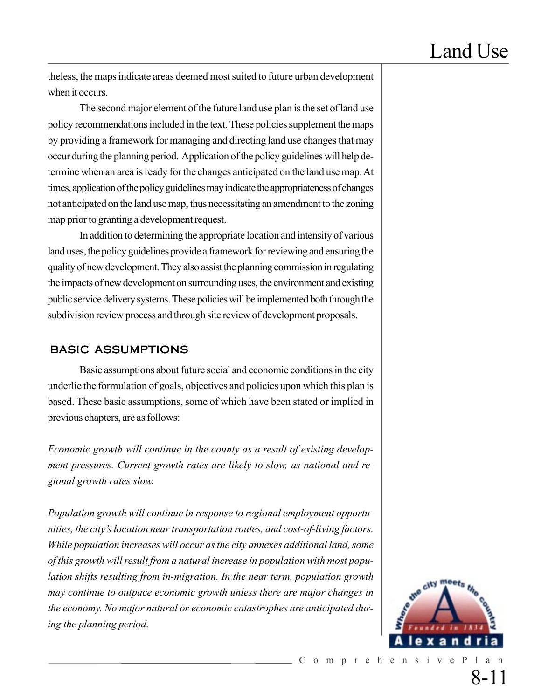theless, the maps indicate areas deemed most suited to future urban development when it occurs.

The second major element of the future land use plan is the set of land use policy recommendations included in the text. These policies supplement the maps by providing a framework for managing and directing land use changes that may occur during the planning period. Application of the policy guidelines will help determine when an area is ready for the changes anticipated on the land use map. At times, application of the policy guidelines may indicate the appropriateness of changes not anticipated on the land use map, thus necessitating an amendment to the zoning map prior to granting a development request.

In addition to determining the appropriate location and intensity of various land uses, the policy guidelines provide a framework for reviewing and ensuring the quality of new development. They also assist the planning commission in regulating the impacts of new development on surrounding uses, the environment and existing public service delivery systems. These policies will be implemented both through the subdivision review process and through site review of development proposals.

#### BASIC ASSUMPTIONS

Basic assumptions about future social and economic conditions in the city underlie the formulation of goals, objectives and policies upon which this plan is based. These basic assumptions, some of which have been stated or implied in previous chapters, are as follows:

*Economic growth will continue in the county as a result of existing development pressures. Current growth rates are likely to slow, as national and regional growth rates slow.*

*Population growth will continue in response to regional employment opportunities, the city's location near transportation routes, and cost-of-living factors. While population increases will occur as the city annexes additional land, some of this growth will result from a natural increase in population with most population shifts resulting from in-migration. In the near term, population growth may continue to outpace economic growth unless there are major changes in the economy. No major natural or economic catastrophes are anticipated during the planning period.*

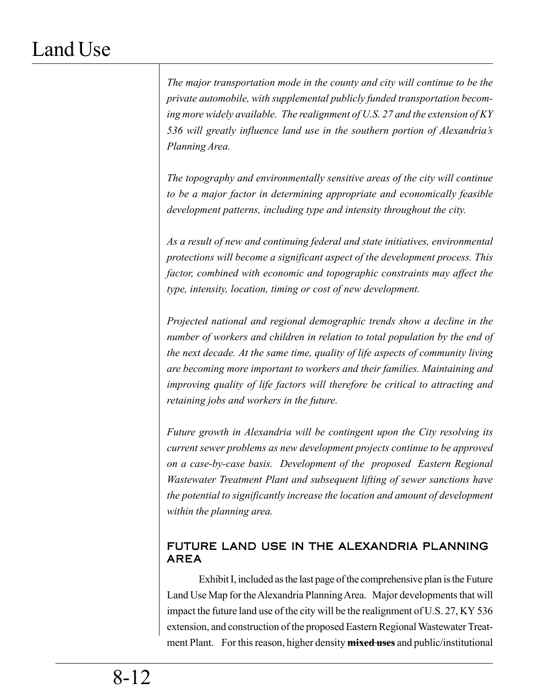*The major transportation mode in the county and city will continue to be the private automobile, with supplemental publicly funded transportation becoming more widely available. The realignment of U.S. 27 and the extension of KY 536 will greatly influence land use in the southern portion of Alexandria's Planning Area.*

*The topography and environmentally sensitive areas of the city will continue to be a major factor in determining appropriate and economically feasible development patterns, including type and intensity throughout the city.*

*As a result of new and continuing federal and state initiatives, environmental protections will become a significant aspect of the development process. This factor, combined with economic and topographic constraints may affect the type, intensity, location, timing or cost of new development.*

*Projected national and regional demographic trends show a decline in the number of workers and children in relation to total population by the end of the next decade. At the same time, quality of life aspects of community living are becoming more important to workers and their families. Maintaining and improving quality of life factors will therefore be critical to attracting and retaining jobs and workers in the future.*

*Future growth in Alexandria will be contingent upon the City resolving its current sewer problems as new development projects continue to be approved on a case-by-case basis. Development of the proposed Eastern Regional Wastewater Treatment Plant and subsequent lifting of sewer sanctions have the potential to significantly increase the location and amount of development within the planning area.*

### FUTURE LAND USE IN THE ALEXANDRIA PLANNING AREA

Exhibit I, included as the last page of the comprehensive plan is the Future Land Use Map for the Alexandria Planning Area. Major developments that will impact the future land use of the city will be the realignment of U.S. 27, KY 536 extension, and construction of the proposed Eastern Regional Wastewater Treatment Plant. For this reason, higher density **mixed uses** and public/institutional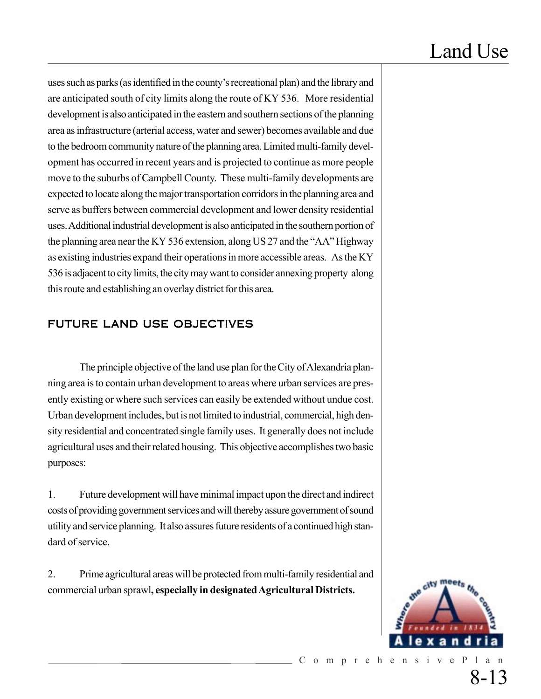uses such as parks (as identified in the county's recreational plan) and the library and are anticipated south of city limits along the route of KY 536. More residential development is also anticipated in the eastern and southern sections of the planning area as infrastructure (arterial access, water and sewer) becomes available and due to the bedroom community nature of the planning area. Limited multi-family development has occurred in recent years and is projected to continue as more people move to the suburbs of Campbell County. These multi-family developments are expected to locate along the major transportation corridors in the planning area and serve as buffers between commercial development and lower density residential uses. Additional industrial development is also anticipated in the southern portion of the planning area near the KY 536 extension, along US 27 and the "AA" Highway as existing industries expand their operations in more accessible areas. As the KY 536 is adjacent to city limits, the city may want to consider annexing property along this route and establishing an overlay district for this area.

### FUTURE LAND USE OBJECTIVES

The principle objective of the land use plan for the City of Alexandria planning area is to contain urban development to areas where urban services are presently existing or where such services can easily be extended without undue cost. Urban development includes, but is not limited to industrial, commercial, high density residential and concentrated single family uses. It generally does not include agricultural uses and their related housing. This objective accomplishes two basic purposes:

1. Future development will have minimal impact upon the direct and indirect costs of providing government services and will thereby assure government of sound utility and service planning. It also assures future residents of a continued high standard of service.

2. Prime agricultural areas will be protected from multi-family residential and commercial urban sprawl**, especially in designated Agricultural Districts.**

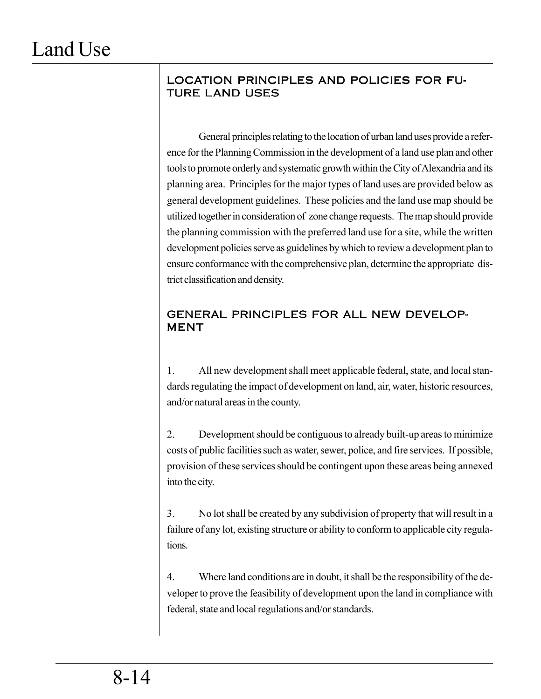### LOCATION PRINCIPLES AND POLICIES FOR FU-TURE LAND USES

General principles relating to the location of urban land uses provide a reference for the Planning Commission in the development of a land use plan and other tools to promote orderly and systematic growth within the City of Alexandria and its planning area. Principles for the major types of land uses are provided below as general development guidelines. These policies and the land use map should be utilized together in consideration of zone change requests. The map should provide the planning commission with the preferred land use for a site, while the written development policies serve as guidelines by which to review a development plan to ensure conformance with the comprehensive plan, determine the appropriate district classification and density.

### GENERAL PRINCIPLES FOR ALL NEW DEVELOP-MENT

1. All new development shall meet applicable federal, state, and local standards regulating the impact of development on land, air, water, historic resources, and/or natural areas in the county.

2. Development should be contiguous to already built-up areas to minimize costs of public facilities such as water, sewer, police, and fire services. If possible, provision of these services should be contingent upon these areas being annexed into the city.

3. No lot shall be created by any subdivision of property that will result in a failure of any lot, existing structure or ability to conform to applicable city regulations.

4. Where land conditions are in doubt, it shall be the responsibility of the developer to prove the feasibility of development upon the land in compliance with federal, state and local regulations and/or standards.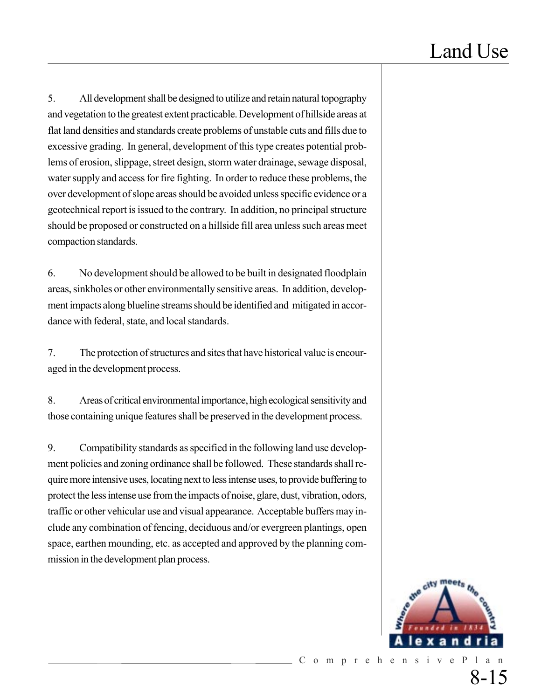5. All development shall be designed to utilize and retain natural topography and vegetation to the greatest extent practicable. Development of hillside areas at flat land densities and standards create problems of unstable cuts and fills due to excessive grading. In general, development of this type creates potential problems of erosion, slippage, street design, storm water drainage, sewage disposal, water supply and access for fire fighting. In order to reduce these problems, the over development of slope areas should be avoided unless specific evidence or a geotechnical report is issued to the contrary. In addition, no principal structure should be proposed or constructed on a hillside fill area unless such areas meet compaction standards.

6. No development should be allowed to be built in designated floodplain areas, sinkholes or other environmentally sensitive areas. In addition, development impacts along blueline streams should be identified and mitigated in accordance with federal, state, and local standards.

7. The protection of structures and sites that have historical value is encouraged in the development process.

8. Areas of critical environmental importance, high ecological sensitivity and those containing unique features shall be preserved in the development process.

9. Compatibility standards as specified in the following land use development policies and zoning ordinance shall be followed. These standards shall require more intensive uses, locating next to less intense uses, to provide buffering to protect the less intense use from the impacts of noise, glare, dust, vibration, odors, traffic or other vehicular use and visual appearance. Acceptable buffers may include any combination of fencing, deciduous and/or evergreen plantings, open space, earthen mounding, etc. as accepted and approved by the planning commission in the development plan process.

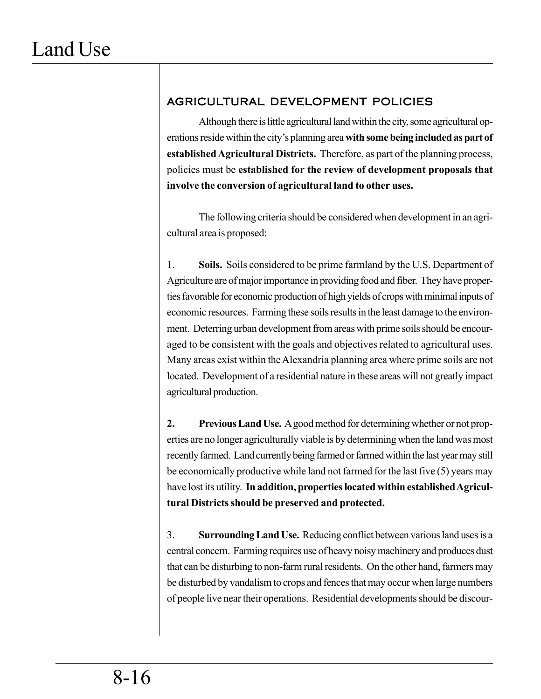# AGRICULTURAL DEVELOPMENT POLICIES

Although there is little agricultural land within the city, some agricultural operations reside within the city's planning area **with some being included as part of established Agricultural Districts.** Therefore, as part of the planning process, policies must be **established for the review of development proposals that involve the conversion of agricultural land to other uses.**

The following criteria should be considered when development in an agricultural area is proposed:

1. **Soils.** Soils considered to be prime farmland by the U.S. Department of Agriculture are of major importance in providing food and fiber. They have properties favorable for economic production of high yields of crops with minimal inputs of economic resources. Farming these soils results in the least damage to the environment. Deterring urban development from areas with prime soils should be encouraged to be consistent with the goals and objectives related to agricultural uses. Many areas exist within the Alexandria planning area where prime soils are not located. Development of a residential nature in these areas will not greatly impact agricultural production.

**2. Previous Land Use.** A good method for determining whether or not properties are no longer agriculturally viable is by determining when the land was most recently farmed. Land currently being farmed or farmed within the last year may still be economically productive while land not farmed for the last five (5) years may have lost its utility. **In addition, properties located within established Agricultural Districts should be preserved and protected.**

3. **Surrounding Land Use.** Reducing conflict between various land uses is a central concern. Farming requires use of heavy noisy machinery and produces dust that can be disturbing to non-farm rural residents. On the other hand, farmers may be disturbed by vandalism to crops and fences that may occur when large numbers of people live near their operations. Residential developments should be discour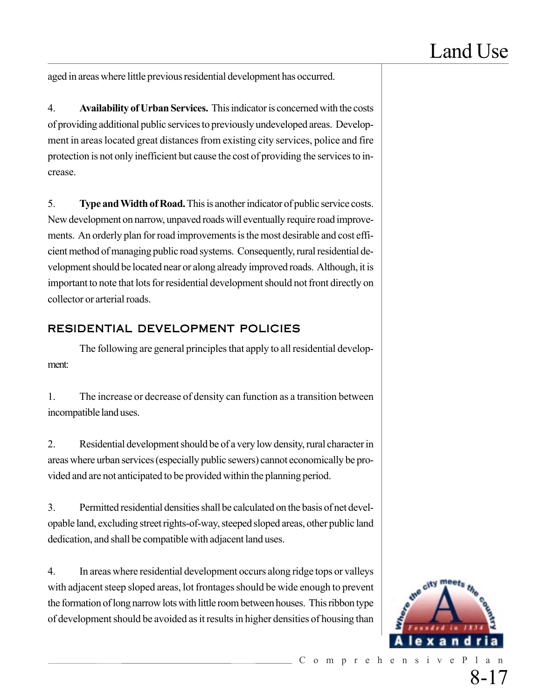aged in areas where little previous residential development has occurred.

4. **Availability of Urban Services.** This indicator is concerned with the costs of providing additional public services to previously undeveloped areas. Development in areas located great distances from existing city services, police and fire protection is not only inefficient but cause the cost of providing the services to increase.

5. **Type and Width of Road.** This is another indicator of public service costs. New development on narrow, unpaved roads will eventually require road improvements. An orderly plan for road improvements is the most desirable and cost efficient method of managing public road systems. Consequently, rural residential development should be located near or along already improved roads. Although, it is important to note that lots for residential development should not front directly on collector or arterial roads.

### RESIDENTIAL DEVELOPMENT POLICIES

The following are general principles that apply to all residential development:

1. The increase or decrease of density can function as a transition between incompatible land uses.

2. Residential development should be of a very low density, rural character in areas where urban services (especially public sewers) cannot economically be provided and are not anticipated to be provided within the planning period.

3. Permitted residential densities shall be calculated on the basis of net developable land, excluding street rights-of-way, steeped sloped areas, other public land dedication, and shall be compatible with adjacent land uses.

4. In areas where residential development occurs along ridge tops or valleys with adjacent steep sloped areas, lot frontages should be wide enough to prevent the formation of long narrow lots with little room between houses. This ribbon type of development should be avoided as it results in higher densities of housing than

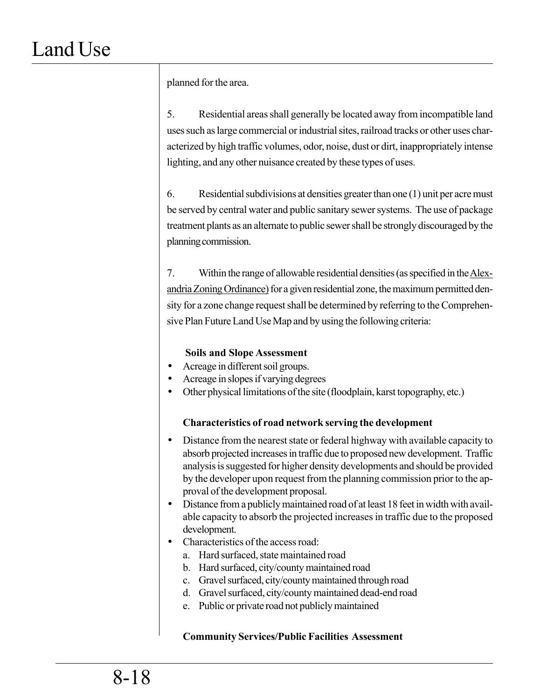planned for the area.

5. Residential areas shall generally be located away from incompatible land uses such as large commercial or industrial sites, railroad tracks or other uses characterized by high traffic volumes, odor, noise, dust or dirt, inappropriately intense lighting, and any other nuisance created by these types of uses.

6. Residential subdivisions at densities greater than one (1) unit per acre must be served by central water and public sanitary sewer systems. The use of package treatment plants as an alternate to public sewer shall be strongly discouraged by the planning commission.

7. Within the range of allowable residential densities (as specified in the Alexandria Zoning Ordinance) for a given residential zone, the maximum permitted density for a zone change request shall be determined by referring to the Comprehensive Plan Future Land Use Map and by using the following criteria:

### **Soils and Slope Assessment**

- Acreage in different soil groups.
- Acreage in slopes if varying degrees
- Other physical limitations of the site (floodplain, karst topography, etc.)

### **Characteristics of road network serving the development**

- Distance from the nearest state or federal highway with available capacity to absorb projected increases in traffic due to proposed new development. Traffic analysis is suggested for higher density developments and should be provided by the developer upon request from the planning commission prior to the approval of the development proposal.
- Distance from a publicly maintained road of at least 18 feet in width with available capacity to absorb the projected increases in traffic due to the proposed development.
- Characteristics of the access road:
	- a. Hard surfaced, state maintained road
	- b. Hard surfaced, city/county maintained road
	- c. Gravel surfaced, city/county maintained through road
	- d. Gravel surfaced, city/county maintained dead-end road
	- e. Public or private road not publicly maintained

### **Community Services/Public Facilities Assessment**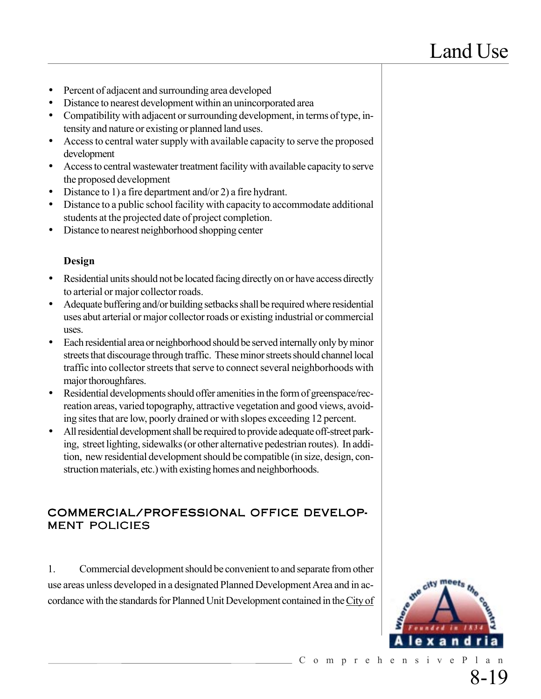- Percent of adjacent and surrounding area developed
- Distance to nearest development within an unincorporated area
- Compatibility with adjacent or surrounding development, in terms of type, intensity and nature or existing or planned land uses.
- Access to central water supply with available capacity to serve the proposed development
- Access to central wastewater treatment facility with available capacity to serve the proposed development
- Distance to 1) a fire department and/or 2) a fire hydrant.
- Distance to a public school facility with capacity to accommodate additional students at the projected date of project completion.
- Distance to nearest neighborhood shopping center

#### **Design**

- Residential units should not be located facing directly on or have access directly to arterial or major collector roads.
- Adequate buffering and/or building setbacks shall be required where residential uses abut arterial or major collector roads or existing industrial or commercial uses.
- Each residential area or neighborhood should be served internally only by minor streets that discourage through traffic. These minor streets should channel local traffic into collector streets that serve to connect several neighborhoods with major thoroughfares.
- Residential developments should offer amenities in the form of greenspace/recreation areas, varied topography, attractive vegetation and good views, avoiding sites that are low, poorly drained or with slopes exceeding 12 percent.
- All residential development shall be required to provide adequate off-street parking, street lighting, sidewalks (or other alternative pedestrian routes). In addition, new residential development should be compatible (in size, design, construction materials, etc.) with existing homes and neighborhoods.

#### COMMERCIAL/PROFESSIONAL OFFICE DEVELOP-MENT POLICIES

1. Commercial development should be convenient to and separate from other use areas unless developed in a designated Planned Development Area and in accordance with the standards for Planned Unit Development contained in the City of

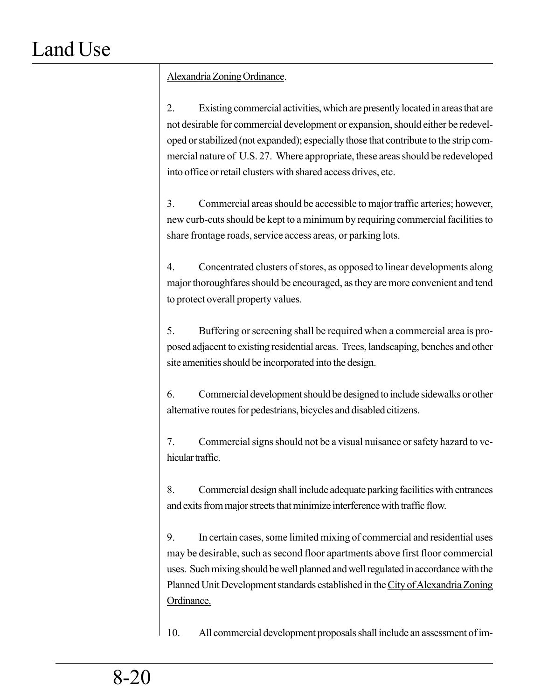### Alexandria Zoning Ordinance.

2. Existing commercial activities, which are presently located in areas that are not desirable for commercial development or expansion, should either be redeveloped or stabilized (not expanded); especially those that contribute to the strip commercial nature of U.S. 27. Where appropriate, these areas should be redeveloped into office or retail clusters with shared access drives, etc.

3. Commercial areas should be accessible to major traffic arteries; however, new curb-cuts should be kept to a minimum by requiring commercial facilities to share frontage roads, service access areas, or parking lots.

4. Concentrated clusters of stores, as opposed to linear developments along major thoroughfares should be encouraged, as they are more convenient and tend to protect overall property values.

5. Buffering or screening shall be required when a commercial area is proposed adjacent to existing residential areas. Trees, landscaping, benches and other site amenities should be incorporated into the design.

6. Commercial development should be designed to include sidewalks or other alternative routes for pedestrians, bicycles and disabled citizens.

7. Commercial signs should not be a visual nuisance or safety hazard to vehicular traffic.

8. Commercial design shall include adequate parking facilities with entrances and exits from major streets that minimize interference with traffic flow.

9. In certain cases, some limited mixing of commercial and residential uses may be desirable, such as second floor apartments above first floor commercial uses. Such mixing should be well planned and well regulated in accordance with the Planned Unit Development standards established in the City of Alexandria Zoning Ordinance.

10. All commercial development proposals shall include an assessment of im-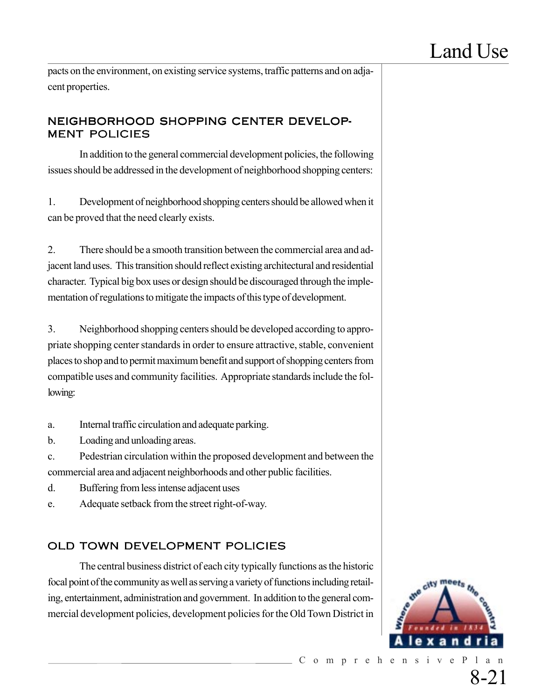pacts on the environment, on existing service systems, traffic patterns and on adjacent properties.

### NEIGHBORHOOD SHOPPING CENTER DEVELOP-MENT POLICIES

In addition to the general commercial development policies, the following issues should be addressed in the development of neighborhood shopping centers:

1. Development of neighborhood shopping centers should be allowed when it can be proved that the need clearly exists.

2. There should be a smooth transition between the commercial area and adjacent land uses. This transition should reflect existing architectural and residential character. Typical big box uses or design should be discouraged through the implementation of regulations to mitigate the impacts of this type of development.

3. Neighborhood shopping centers should be developed according to appropriate shopping center standards in order to ensure attractive, stable, convenient places to shop and to permit maximum benefit and support of shopping centers from compatible uses and community facilities. Appropriate standards include the following:

a. Internal traffic circulation and adequate parking.

b. Loading and unloading areas.

c. Pedestrian circulation within the proposed development and between the commercial area and adjacent neighborhoods and other public facilities.

- d. Buffering from less intense adjacent uses
- e. Adequate setback from the street right-of-way.

# OLD TOWN DEVELOPMENT POLICIES

The central business district of each city typically functions as the historic focal point of the community as well as serving a variety of functions including retailing, entertainment, administration and government. In addition to the general commercial development policies, development policies for the Old Town District in

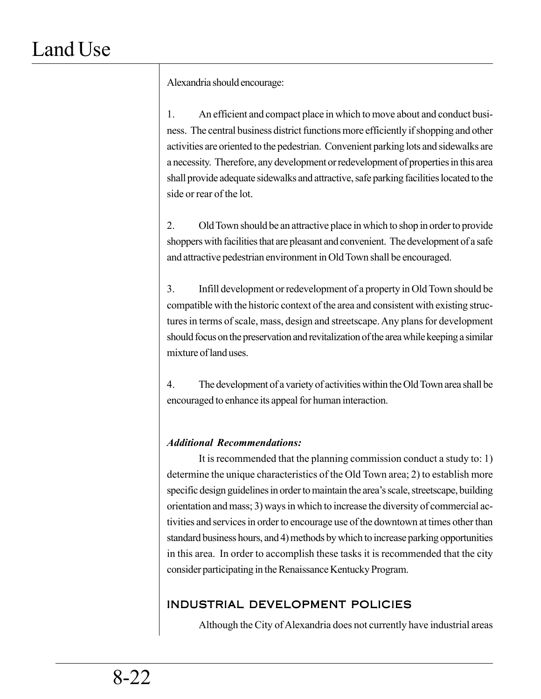Alexandria should encourage:

1. An efficient and compact place in which to move about and conduct business. The central business district functions more efficiently if shopping and other activities are oriented to the pedestrian. Convenient parking lots and sidewalks are a necessity. Therefore, any development or redevelopment of properties in this area shall provide adequate sidewalks and attractive, safe parking facilities located to the side or rear of the lot.

2. Old Town should be an attractive place in which to shop in order to provide shoppers with facilities that are pleasant and convenient. The development of a safe and attractive pedestrian environment in Old Town shall be encouraged.

3. Infill development or redevelopment of a property in Old Town should be compatible with the historic context of the area and consistent with existing structures in terms of scale, mass, design and streetscape. Any plans for development should focus on the preservation and revitalization of the area while keeping a similar mixture of land uses.

4. The development of a variety of activities within the Old Town area shall be encouraged to enhance its appeal for human interaction.

### *Additional Recommendations:*

It is recommended that the planning commission conduct a study to: 1) determine the unique characteristics of the Old Town area; 2) to establish more specific design guidelines in order to maintain the area's scale, streetscape, building orientation and mass; 3) ways in which to increase the diversity of commercial activities and services in order to encourage use of the downtown at times other than standard business hours, and 4) methods by which to increase parking opportunities in this area. In order to accomplish these tasks it is recommended that the city consider participating in the Renaissance Kentucky Program.

## INDUSTRIAL DEVELOPMENT POLICIES

Although the City of Alexandria does not currently have industrial areas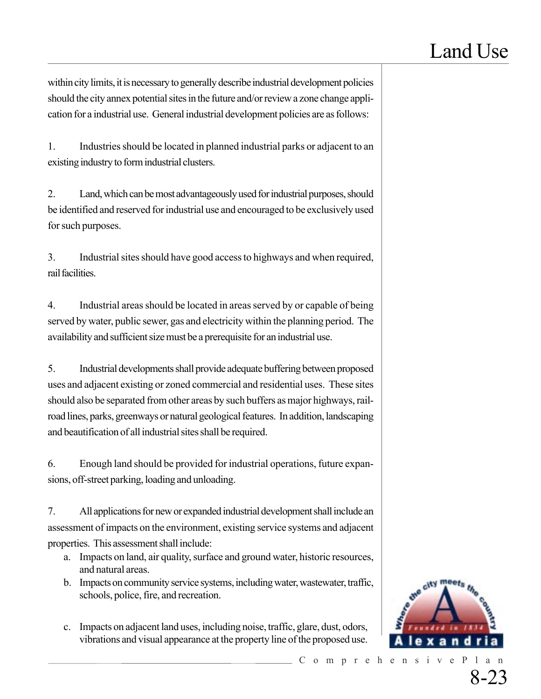within city limits, it is necessary to generally describe industrial development policies should the city annex potential sites in the future and/or review a zone change application for a industrial use. General industrial development policies are as follows:

1. Industries should be located in planned industrial parks or adjacent to an existing industry to form industrial clusters.

2. Land, which can be most advantageously used for industrial purposes, should be identified and reserved for industrial use and encouraged to be exclusively used for such purposes.

3. Industrial sites should have good access to highways and when required, rail facilities.

4. Industrial areas should be located in areas served by or capable of being served by water, public sewer, gas and electricity within the planning period. The availability and sufficient size must be a prerequisite for an industrial use.

5. Industrial developments shall provide adequate buffering between proposed uses and adjacent existing or zoned commercial and residential uses. These sites should also be separated from other areas by such buffers as major highways, railroad lines, parks, greenways or natural geological features. In addition, landscaping and beautification of all industrial sites shall be required.

6. Enough land should be provided for industrial operations, future expansions, off-street parking, loading and unloading.

7. All applications for new or expanded industrial development shall include an assessment of impacts on the environment, existing service systems and adjacent properties. This assessment shall include:

- a. Impacts on land, air quality, surface and ground water, historic resources, and natural areas.
- b. Impacts on community service systems, including water, wastewater, traffic, schools, police, fire, and recreation.
- c. Impacts on adjacent land uses, including noise, traffic, glare, dust, odors, vibrations and visual appearance at the property line of the proposed use.

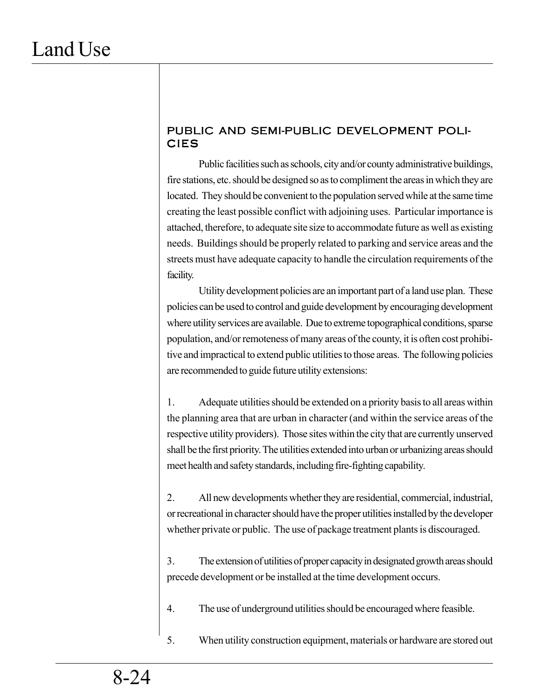### PUBLIC AND SEMI-PUBLIC DEVELOPMENT POLI-CIES

Public facilities such as schools, city and/or county administrative buildings, fire stations, etc. should be designed so as to compliment the areas in which they are located. They should be convenient to the population served while at the same time creating the least possible conflict with adjoining uses. Particular importance is attached, therefore, to adequate site size to accommodate future as well as existing needs. Buildings should be properly related to parking and service areas and the streets must have adequate capacity to handle the circulation requirements of the facility.

Utility development policies are an important part of a land use plan. These policies can be used to control and guide development by encouraging development where utility services are available. Due to extreme topographical conditions, sparse population, and/or remoteness of many areas of the county, it is often cost prohibitive and impractical to extend public utilities to those areas. The following policies are recommended to guide future utility extensions:

1. Adequate utilities should be extended on a priority basis to all areas within the planning area that are urban in character (and within the service areas of the respective utility providers). Those sites within the city that are currently unserved shall be the first priority. The utilities extended into urban or urbanizing areas should meet health and safety standards, including fire-fighting capability.

2. All new developments whether they are residential, commercial, industrial, or recreational in character should have the proper utilities installed by the developer whether private or public. The use of package treatment plants is discouraged.

3. The extension of utilities of proper capacity in designated growth areas should precede development or be installed at the time development occurs.

4. The use of underground utilities should be encouraged where feasible.

5. When utility construction equipment, materials or hardware are stored out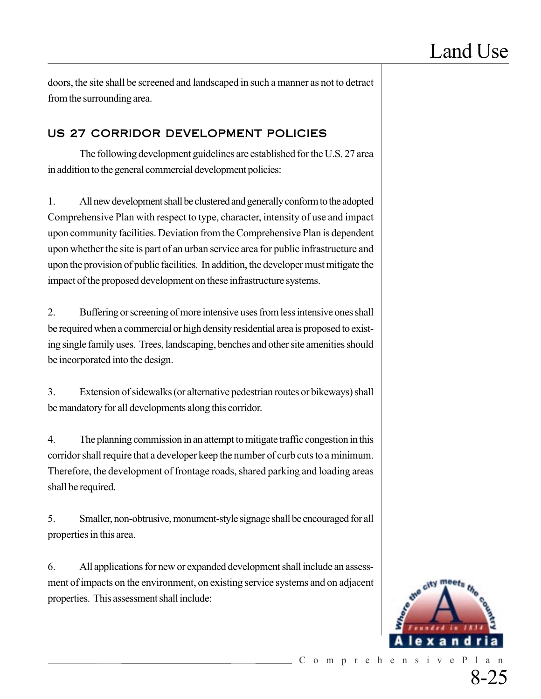doors, the site shall be screened and landscaped in such a manner as not to detract from the surrounding area.

### US 27 CORRIDOR DEVELOPMENT POLICIES

The following development guidelines are established for the U.S. 27 area in addition to the general commercial development policies:

1. All new development shall be clustered and generally conform to the adopted Comprehensive Plan with respect to type, character, intensity of use and impact upon community facilities. Deviation from the Comprehensive Plan is dependent upon whether the site is part of an urban service area for public infrastructure and upon the provision of public facilities. In addition, the developer must mitigate the impact of the proposed development on these infrastructure systems.

2. Buffering or screening of more intensive uses from less intensive ones shall be required when a commercial or high density residential area is proposed to existing single family uses. Trees, landscaping, benches and other site amenities should be incorporated into the design.

3. Extension of sidewalks (or alternative pedestrian routes or bikeways) shall be mandatory for all developments along this corridor.

4. The planning commission in an attempt to mitigate traffic congestion in this corridor shall require that a developer keep the number of curb cuts to a minimum. Therefore, the development of frontage roads, shared parking and loading areas shall be required.

5. Smaller, non-obtrusive, monument-style signage shall be encouraged for all properties in this area.

6. All applications for new or expanded development shall include an assessment of impacts on the environment, on existing service systems and on adjacent properties. This assessment shall include: